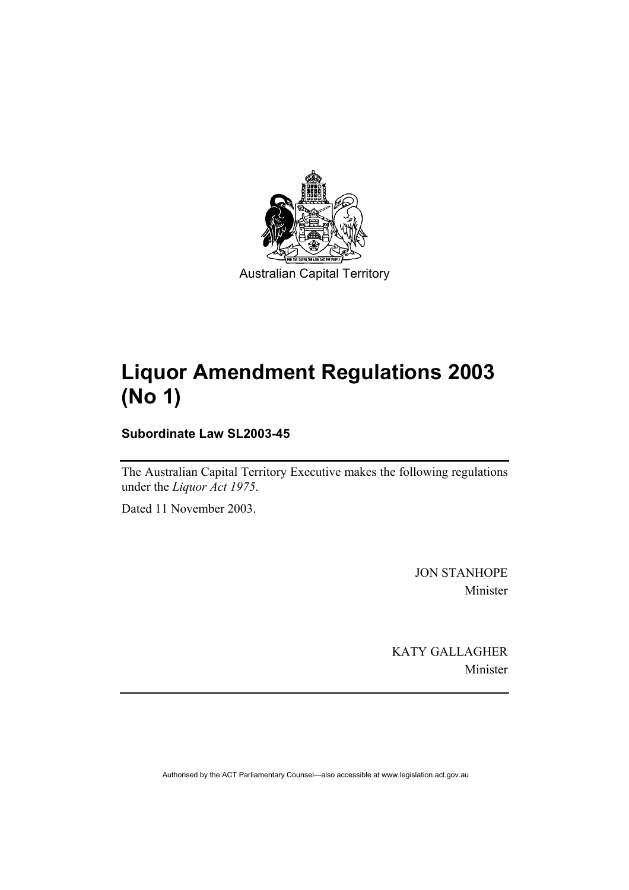

Australian Capital Territory

# **Liquor Amendment Regulations 2003 (No 1)**

**Subordinate Law SL2003-45** 

The Australian Capital Territory Executive makes the following regulations under the *Liquor Act 1975*.

Dated 11 November 2003.

JON STANHOPE Minister

KATY GALLAGHER Minister

Authorised by the ACT Parliamentary Counsel—also accessible at www.legislation.act.gov.au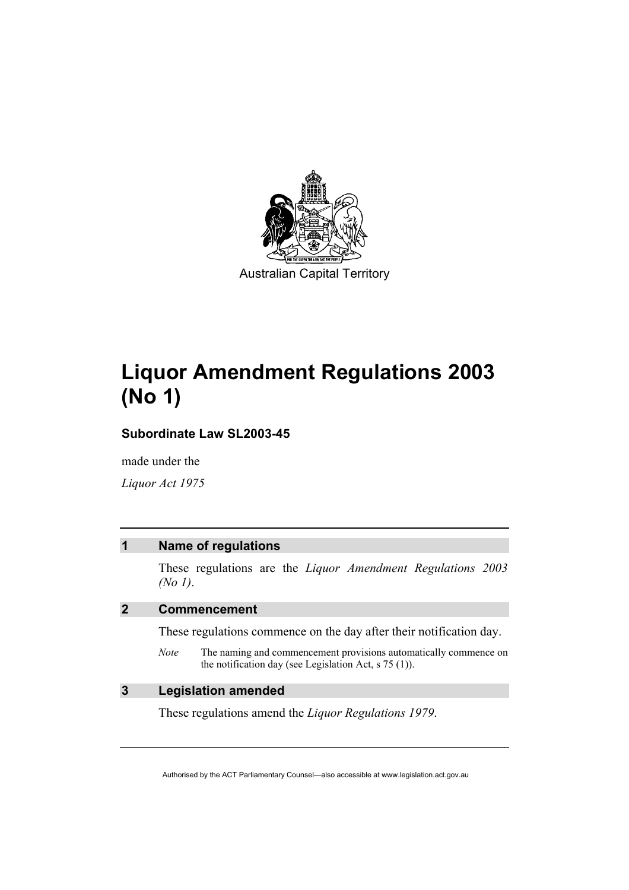

Australian Capital Territory

# **Liquor Amendment Regulations 2003 (No 1)**

**Subordinate Law SL2003-45** 

made under the

*Liquor Act 1975* 

#### **1 Name of regulations**

These regulations are the *Liquor Amendment Regulations 2003 (No 1)*.

### **2 Commencement**

These regulations commence on the day after their notification day.

*Note* The naming and commencement provisions automatically commence on the notification day (see Legislation Act, s 75 (1)).

### **3 Legislation amended**

These regulations amend the *Liquor Regulations 1979*.

Authorised by the ACT Parliamentary Counsel—also accessible at www.legislation.act.gov.au